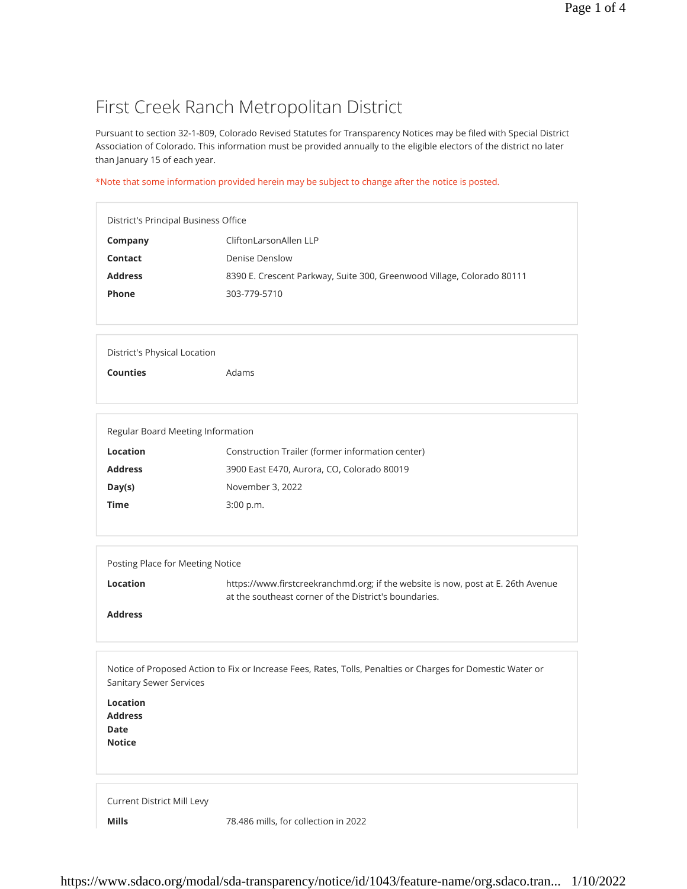## First Creek Ranch Metropolitan District

Pursuant to section 32-1-809, Colorado Revised Statutes for Transparency Notices may be filed with Special District Association of Colorado. This information must be provided annually to the eligible electors of the district no later than January 15 of each year.

\*Note that some information provided herein may be subject to change after the notice is posted.

| District's Principal Business Office |                                                                        |  |
|--------------------------------------|------------------------------------------------------------------------|--|
| Company                              | CliftonLarsonAllen LLP                                                 |  |
| Contact                              | Denise Denslow                                                         |  |
| <b>Address</b>                       | 8390 E. Crescent Parkway, Suite 300, Greenwood Village, Colorado 80111 |  |
| <b>Phone</b>                         | 303-779-5710                                                           |  |
|                                      |                                                                        |  |

District's Physical Location

**Counties** Adams

Regular Board Meeting Information

| Location       | Construction Trailer (former information center) |
|----------------|--------------------------------------------------|
| <b>Address</b> | 3900 East E470, Aurora, CO, Colorado 80019       |
| Day(s)         | November 3, 2022                                 |
| Time           | $3:00$ p.m.                                      |
|                |                                                  |

| Posting Place for Meeting Notice |                                                                                                                                           |  |
|----------------------------------|-------------------------------------------------------------------------------------------------------------------------------------------|--|
| Location                         | https://www.firstcreekranchmd.org; if the website is now, post at E. 26th Avenue<br>at the southeast corner of the District's boundaries. |  |
| <b>Address</b>                   |                                                                                                                                           |  |

Notice of Proposed Action to Fix or Increase Fees, Rates, Tolls, Penalties or Charges for Domestic Water or Sanitary Sewer Services

**Location Address Date Notice**

Current District Mill Levy

**Mills** 78.486 mills, for collection in 2022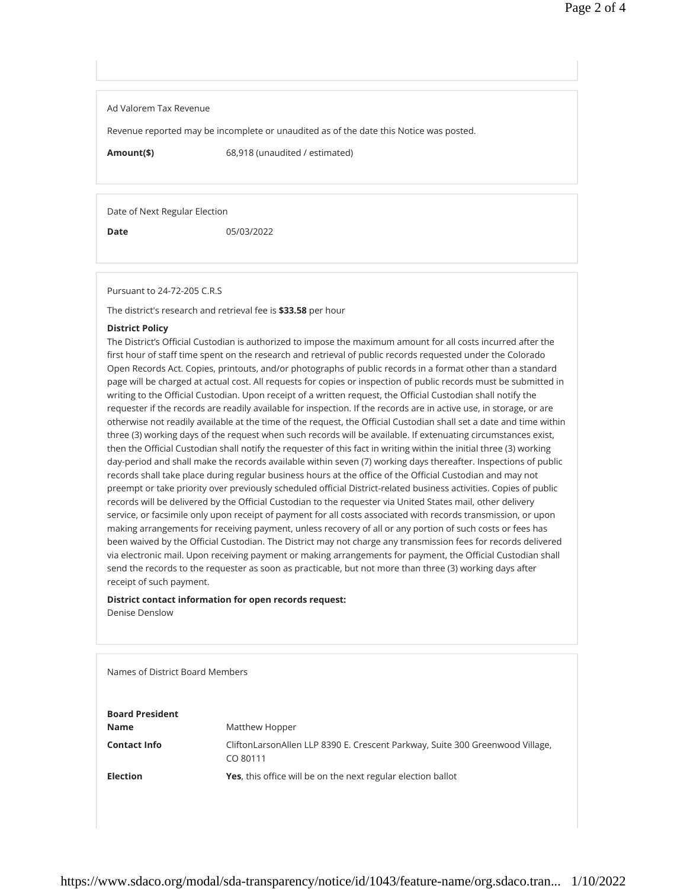Ad Valorem Tax Revenue

Revenue reported may be incomplete or unaudited as of the date this Notice was posted.

**Amount(\$)** 68,918 (unaudited / estimated)

Date of Next Regular Election

**Date** 05/03/2022

Pursuant to 24-72-205 C.R.S

The district's research and retrieval fee is **\$33.58** per hour

## **District Policy**

The District's Official Custodian is authorized to impose the maximum amount for all costs incurred after the first hour of staff time spent on the research and retrieval of public records requested under the Colorado Open Records Act. Copies, printouts, and/or photographs of public records in a format other than a standard page will be charged at actual cost. All requests for copies or inspection of public records must be submitted in writing to the Official Custodian. Upon receipt of a written request, the Official Custodian shall notify the requester if the records are readily available for inspection. If the records are in active use, in storage, or are otherwise not readily available at the time of the request, the Official Custodian shall set a date and time within three (3) working days of the request when such records will be available. If extenuating circumstances exist, then the Official Custodian shall notify the requester of this fact in writing within the initial three (3) working day-period and shall make the records available within seven (7) working days thereafter. Inspections of public records shall take place during regular business hours at the office of the Official Custodian and may not preempt or take priority over previously scheduled official District-related business activities. Copies of public records will be delivered by the Official Custodian to the requester via United States mail, other delivery service, or facsimile only upon receipt of payment for all costs associated with records transmission, or upon making arrangements for receiving payment, unless recovery of all or any portion of such costs or fees has been waived by the Official Custodian. The District may not charge any transmission fees for records delivered via electronic mail. Upon receiving payment or making arrangements for payment, the Official Custodian shall send the records to the requester as soon as practicable, but not more than three (3) working days after receipt of such payment.

## **District contact information for open records request:** Denise Denslow

Names of District Board Members **Board President Name** Matthew Hopper **Contact Info** CliftonLarsonAllen LLP 8390 E. Crescent Parkway, Suite 300 Greenwood Village, CO 80111 **Election Yes**, this office will be on the next regular election ballot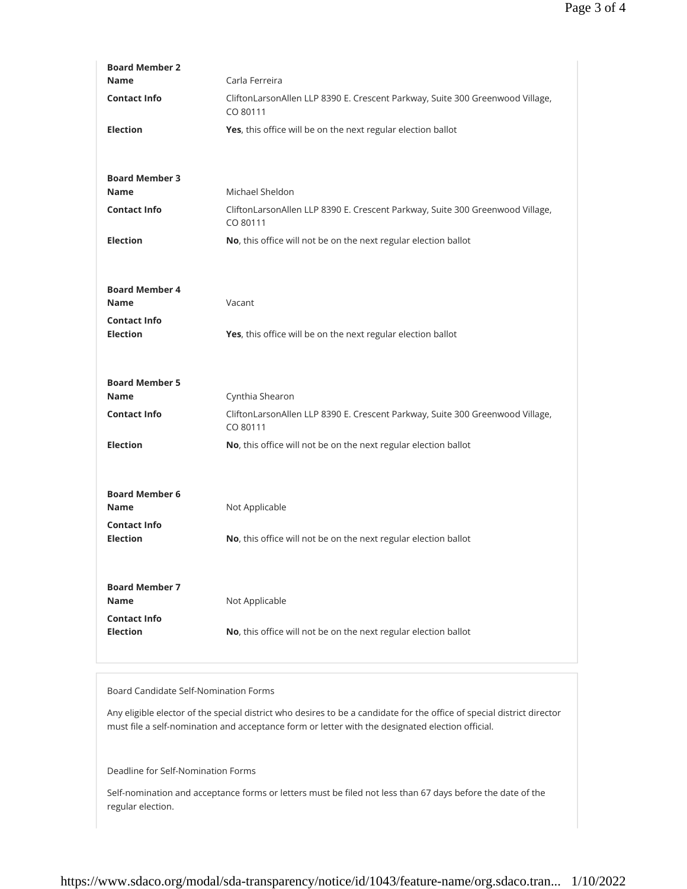| <b>Board Member 2</b>                  |                                                                                           |
|----------------------------------------|-------------------------------------------------------------------------------------------|
| <b>Name</b>                            | Carla Ferreira                                                                            |
| <b>Contact Info</b>                    | CliftonLarsonAllen LLP 8390 E. Crescent Parkway, Suite 300 Greenwood Village,<br>CO 80111 |
| <b>Election</b>                        | Yes, this office will be on the next regular election ballot                              |
|                                        |                                                                                           |
| <b>Board Member 3</b>                  |                                                                                           |
| <b>Name</b>                            | Michael Sheldon                                                                           |
| <b>Contact Info</b>                    | CliftonLarsonAllen LLP 8390 E. Crescent Parkway, Suite 300 Greenwood Village,<br>CO 80111 |
| <b>Election</b>                        | No, this office will not be on the next regular election ballot                           |
|                                        |                                                                                           |
| <b>Board Member 4</b>                  |                                                                                           |
| <b>Name</b>                            | Vacant                                                                                    |
| <b>Contact Info</b>                    |                                                                                           |
| <b>Election</b>                        | Yes, this office will be on the next regular election ballot                              |
|                                        |                                                                                           |
|                                        |                                                                                           |
| <b>Board Member 5</b>                  |                                                                                           |
| <b>Name</b>                            | Cynthia Shearon                                                                           |
| <b>Contact Info</b>                    | CliftonLarsonAllen LLP 8390 E. Crescent Parkway, Suite 300 Greenwood Village,<br>CO 80111 |
| <b>Election</b>                        | No, this office will not be on the next regular election ballot                           |
|                                        |                                                                                           |
| <b>Board Member 6</b>                  |                                                                                           |
| Name                                   | Not Applicable                                                                            |
| <b>Contact Info</b>                    |                                                                                           |
| <b>Election</b>                        | No, this office will not be on the next regular election ballot                           |
|                                        |                                                                                           |
| <b>Board Member 7</b>                  |                                                                                           |
| <b>Name</b>                            | Not Applicable                                                                            |
| <b>Contact Info</b><br><b>Election</b> | No, this office will not be on the next regular election ballot                           |

## Board Candidate Self-Nomination Forms

Any eligible elector of the special district who desires to be a candidate for the office of special district director must file a self-nomination and acceptance form or letter with the designated election official.

Deadline for Self-Nomination Forms

Self-nomination and acceptance forms or letters must be filed not less than 67 days before the date of the regular election.